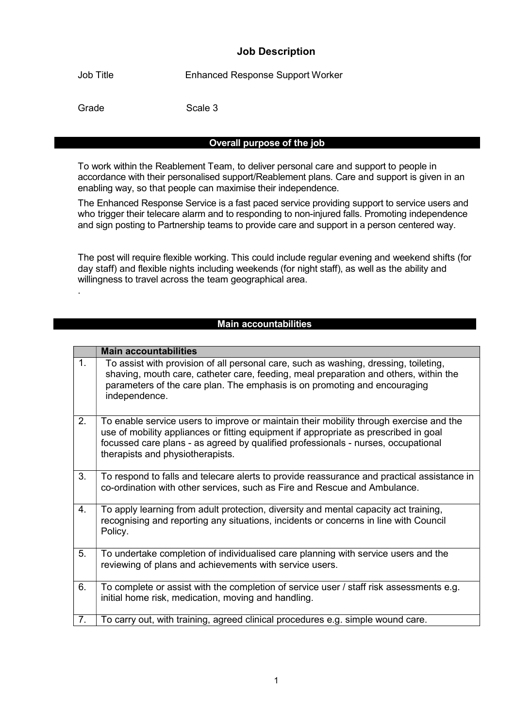### Job Description

Job Title Enhanced Response Support Worker

.

Grade Scale 3

### Overall purpose of the job

To work within the Reablement Team, to deliver personal care and support to people in accordance with their personalised support/Reablement plans. Care and support is given in an enabling way, so that people can maximise their independence.

The Enhanced Response Service is a fast paced service providing support to service users and who trigger their telecare alarm and to responding to non-injured falls. Promoting independence and sign posting to Partnership teams to provide care and support in a person centered way.

The post will require flexible working. This could include regular evening and weekend shifts (for day staff) and flexible nights including weekends (for night staff), as well as the ability and willingness to travel across the team geographical area.

#### Main accountabilities

|    | <b>Main accountabilities</b>                                                                                                                                                                                                                                                                            |
|----|---------------------------------------------------------------------------------------------------------------------------------------------------------------------------------------------------------------------------------------------------------------------------------------------------------|
| 1. | To assist with provision of all personal care, such as washing, dressing, toileting,<br>shaving, mouth care, catheter care, feeding, meal preparation and others, within the<br>parameters of the care plan. The emphasis is on promoting and encouraging<br>independence.                              |
| 2. | To enable service users to improve or maintain their mobility through exercise and the<br>use of mobility appliances or fitting equipment if appropriate as prescribed in goal<br>focussed care plans - as agreed by qualified professionals - nurses, occupational<br>therapists and physiotherapists. |
| 3. | To respond to falls and telecare alerts to provide reassurance and practical assistance in<br>co-ordination with other services, such as Fire and Rescue and Ambulance.                                                                                                                                 |
| 4. | To apply learning from adult protection, diversity and mental capacity act training,<br>recognising and reporting any situations, incidents or concerns in line with Council<br>Policy.                                                                                                                 |
| 5. | To undertake completion of individualised care planning with service users and the<br>reviewing of plans and achievements with service users.                                                                                                                                                           |
| 6. | To complete or assist with the completion of service user / staff risk assessments e.g.<br>initial home risk, medication, moving and handling.                                                                                                                                                          |
| 7. | To carry out, with training, agreed clinical procedures e.g. simple wound care.                                                                                                                                                                                                                         |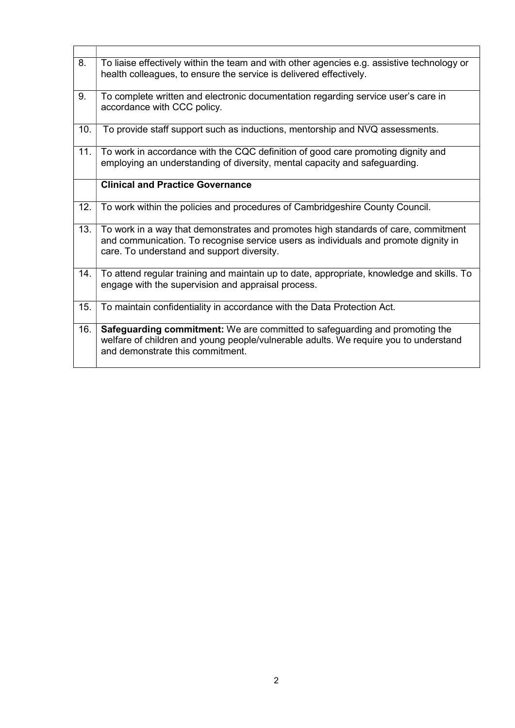| 8.  | To liaise effectively within the team and with other agencies e.g. assistive technology or<br>health colleagues, to ensure the service is delivered effectively.                                                        |
|-----|-------------------------------------------------------------------------------------------------------------------------------------------------------------------------------------------------------------------------|
| 9.  | To complete written and electronic documentation regarding service user's care in<br>accordance with CCC policy.                                                                                                        |
| 10. | To provide staff support such as inductions, mentorship and NVQ assessments.                                                                                                                                            |
| 11. | To work in accordance with the CQC definition of good care promoting dignity and<br>employing an understanding of diversity, mental capacity and safeguarding.                                                          |
|     | <b>Clinical and Practice Governance</b>                                                                                                                                                                                 |
| 12. | To work within the policies and procedures of Cambridgeshire County Council.                                                                                                                                            |
| 13. | To work in a way that demonstrates and promotes high standards of care, commitment<br>and communication. To recognise service users as individuals and promote dignity in<br>care. To understand and support diversity. |
| 14. | To attend regular training and maintain up to date, appropriate, knowledge and skills. To<br>engage with the supervision and appraisal process.                                                                         |
| 15. | To maintain confidentiality in accordance with the Data Protection Act.                                                                                                                                                 |
| 16. | Safeguarding commitment: We are committed to safeguarding and promoting the<br>welfare of children and young people/vulnerable adults. We require you to understand<br>and demonstrate this commitment.                 |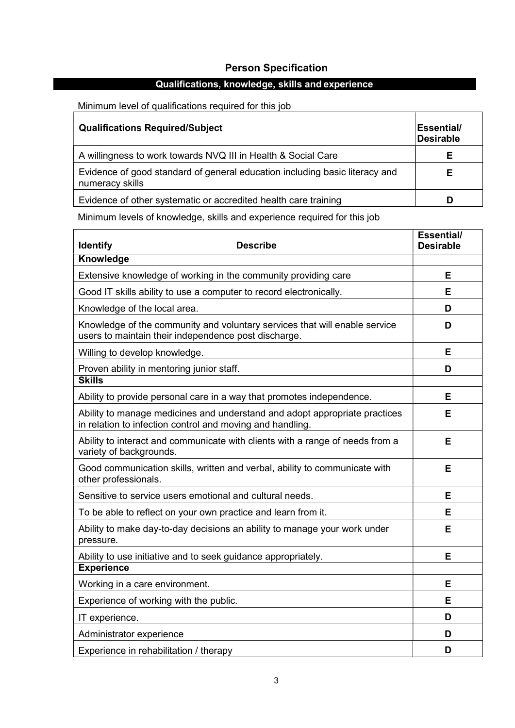# Person Specification

# Qualifications, knowledge, skills and experience

Minimum level of qualifications required for this job

| <b>Qualifications Required/Subject</b>                                                         | <b>Essential/</b><br>Desirable |
|------------------------------------------------------------------------------------------------|--------------------------------|
| A willingness to work towards NVQ III in Health & Social Care                                  | F                              |
| Evidence of good standard of general education including basic literacy and<br>numeracy skills |                                |
| Evidence of other systematic or accredited health care training                                |                                |

Minimum levels of knowledge, skills and experience required for this job

| <b>Describe</b><br><b>Identify</b>                                                                                                      | Essential/<br><b>Desirable</b> |
|-----------------------------------------------------------------------------------------------------------------------------------------|--------------------------------|
| Knowledge                                                                                                                               |                                |
| Extensive knowledge of working in the community providing care                                                                          | E                              |
| Good IT skills ability to use a computer to record electronically.                                                                      | Е                              |
| Knowledge of the local area.                                                                                                            | D                              |
| Knowledge of the community and voluntary services that will enable service<br>users to maintain their independence post discharge.      | D                              |
| Willing to develop knowledge.                                                                                                           | E                              |
| Proven ability in mentoring junior staff.                                                                                               | D                              |
| <b>Skills</b>                                                                                                                           |                                |
| Ability to provide personal care in a way that promotes independence.                                                                   | Е                              |
| Ability to manage medicines and understand and adopt appropriate practices<br>in relation to infection control and moving and handling. | Е                              |
| Ability to interact and communicate with clients with a range of needs from a<br>variety of backgrounds.                                | Е                              |
| Good communication skills, written and verbal, ability to communicate with<br>other professionals.                                      | E                              |
| Sensitive to service users emotional and cultural needs.                                                                                | E                              |
| To be able to reflect on your own practice and learn from it.                                                                           | E                              |
| Ability to make day-to-day decisions an ability to manage your work under<br>pressure.                                                  | E                              |
| Ability to use initiative and to seek guidance appropriately.                                                                           | E                              |
| <b>Experience</b>                                                                                                                       |                                |
| Working in a care environment.                                                                                                          | Е                              |
| Experience of working with the public.                                                                                                  | Е                              |
| IT experience.                                                                                                                          | D                              |
| Administrator experience                                                                                                                | D                              |
| Experience in rehabilitation / therapy                                                                                                  | D                              |